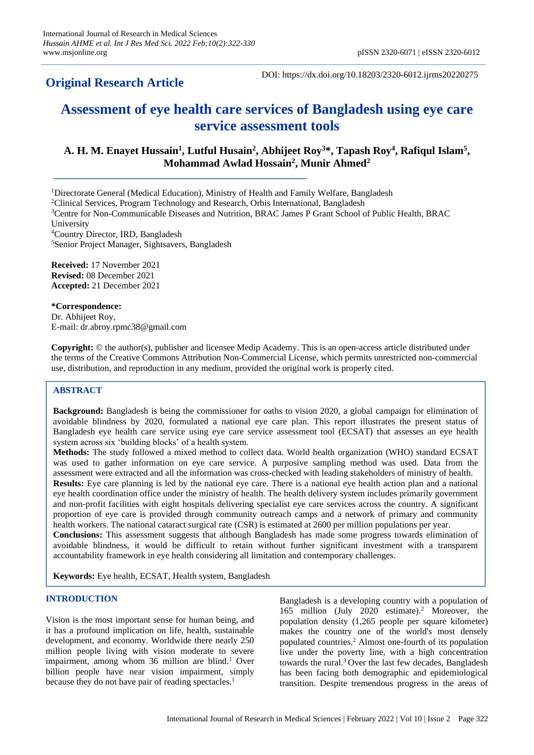# **Original Research Article**

DOI: https://dx.doi.org/10.18203/2320-6012.ijrms20220275

# **Assessment of eye health care services of Bangladesh using eye care service assessment tools**

# **A. H. M. Enayet Hussain<sup>1</sup> , Lutful Husain<sup>2</sup> , Abhijeet Roy<sup>3</sup>\*, Tapash Roy<sup>4</sup> , Rafiqul Islam<sup>5</sup> , Mohammad Awlad Hossain<sup>2</sup> , Munir Ahmed<sup>2</sup>**

<sup>1</sup>Directorate General (Medical Education), Ministry of Health and Family Welfare, Bangladesh

<sup>2</sup>Clinical Services, Program Technology and Research, Orbis International, Bangladesh

University

<sup>4</sup>Country Director, IRD, Bangladesh

<sup>5</sup>Senior Project Manager, Sightsavers, Bangladesh

**Received:** 17 November 2021 **Revised:** 08 December 2021 **Accepted:** 21 December 2021

**\*Correspondence:** Dr. Abhijeet Roy, E-mail: dr.abroy.rpmc38@gmail.com

**Copyright:** © the author(s), publisher and licensee Medip Academy. This is an open-access article distributed under the terms of the Creative Commons Attribution Non-Commercial License, which permits unrestricted non-commercial use, distribution, and reproduction in any medium, provided the original work is properly cited.

# **ABSTRACT**

**Background:** Bangladesh is being the commissioner for oaths to vision 2020, a global campaign for elimination of avoidable blindness by 2020, formulated a national eye care plan. This report illustrates the present status of Bangladesh eye health care service using eye care service assessment tool (ECSAT) that assesses an eye health system across six 'building blocks' of a health system.

**Methods:** The study followed a mixed method to collect data. World health organization (WHO) standard ECSAT was used to gather information on eye care service. A purposive sampling method was used. Data from the assessment were extracted and all the information was cross-checked with leading stakeholders of ministry of health. **Results:** Eye care planning is led by the national eye care. There is a national eye health action plan and a national eye health coordination office under the ministry of health. The health delivery system includes primarily government and non-profit facilities with eight hospitals delivering specialist eye care services across the country. A significant proportion of eye care is provided through community outreach camps and a network of primary and community health workers. The national cataract surgical rate (CSR) is estimated at 2600 per million populations per year. **Conclusions:** This assessment suggests that although Bangladesh has made some progress towards elimination of avoidable blindness, it would be difficult to retain without further significant investment with a transparent accountability framework in eye health considering all limitation and contemporary challenges.

**Keywords:** Eye health, ECSAT, Health system, Bangladesh

### **INTRODUCTION**

Vision is the most important sense for human being, and it has a profound implication on life, health, sustainable development, and economy. Worldwide there nearly 250 million people living with vision moderate to severe impairment, among whom  $36$  million are blind.<sup>1</sup> Over billion people have near vision impairment, simply because they do not have pair of reading spectacles.<sup>1</sup>

Bangladesh is a developing country with a population of 165 million (July 2020 estimate).<sup>2</sup> Moreover, the population density (1,265 people per square kilometer) makes the country one of the world's most densely populated countries.<sup>2</sup> Almost one-fourth of its population live under the poverty line, with a high concentration towards the rural.<sup>3</sup> Over the last few decades, Bangladesh has been facing both demographic and epidemiological transition. Despite tremendous progress in the areas of

<sup>3</sup>Centre for Non-Communicable Diseases and Nutrition, BRAC James P Grant School of Public Health, BRAC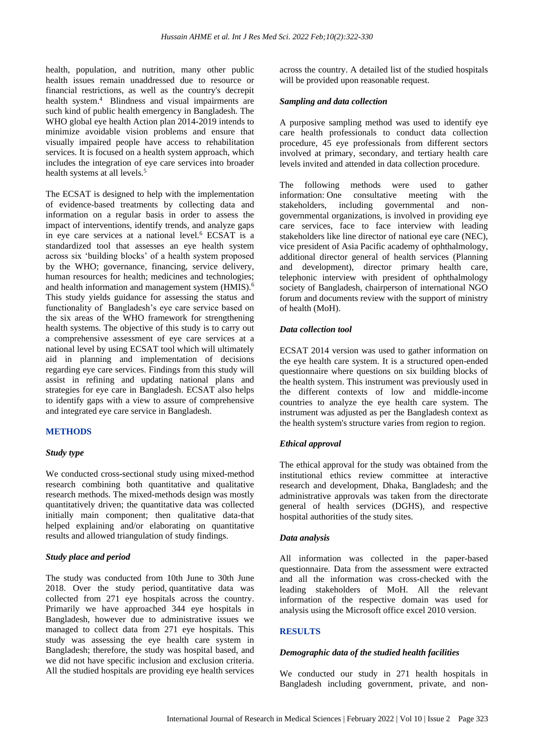health, population, and nutrition, many other public health issues remain unaddressed due to resource or financial restrictions, as well as the country's decrepit health system.<sup>4</sup> Blindness and visual impairments are such kind of public health emergency in Bangladesh. The WHO global eye health Action plan 2014-2019 intends to minimize avoidable vision problems and ensure that visually impaired people have access to rehabilitation services. It is focused on a health system approach, which includes the integration of eye care services into broader health systems at all levels.<sup>5</sup>

The ECSAT is designed to help with the implementation of evidence-based treatments by collecting data and information on a regular basis in order to assess the impact of interventions, identify trends, and analyze gaps in eye care services at a national level.<sup>6</sup> ECSAT is a standardized tool that assesses an eye health system across six 'building blocks' of a health system proposed by the WHO; governance, financing, service delivery, human resources for health; medicines and technologies; and health information and management system (HMIS).<sup>6</sup> This study yields guidance for assessing the status and functionality of Bangladesh's eye care service based on the six areas of the WHO framework for strengthening health systems. The objective of this study is to carry out a comprehensive assessment of eye care services at a national level by using ECSAT tool which will ultimately aid in planning and implementation of decisions regarding eye care services. Findings from this study will assist in refining and updating national plans and strategies for eye care in Bangladesh. ECSAT also helps to identify gaps with a view to assure of comprehensive and integrated eye care service in Bangladesh.

# **METHODS**

### *Study type*

We conducted cross-sectional study using mixed-method research combining both quantitative and qualitative research methods. The mixed-methods design was mostly quantitatively driven; the quantitative data was collected initially main component; then qualitative data-that helped explaining and/or elaborating on quantitative results and allowed triangulation of study findings.

# *Study place and period*

The study was conducted from 10th June to 30th June 2018. Over the study period, quantitative data was collected from 271 eye hospitals across the country. Primarily we have approached 344 eye hospitals in Bangladesh, however due to administrative issues we managed to collect data from 271 eye hospitals. This study was assessing the eye health care system in Bangladesh; therefore, the study was hospital based, and we did not have specific inclusion and exclusion criteria. All the studied hospitals are providing eye health services across the country. A detailed list of the studied hospitals will be provided upon reasonable request.

#### *Sampling and data collection*

A purposive sampling method was used to identify eye care health professionals to conduct data collection procedure, 45 eye professionals from different sectors involved at primary, secondary, and tertiary health care levels invited and attended in data collection procedure.

The following methods were used to gather information: One consultative meeting with the stakeholders, including governmental and nongovernmental organizations, is involved in providing eye care services, face to face interview with leading stakeholders like line director of national eye care (NEC), vice president of Asia Pacific academy of ophthalmology, additional director general of health services (Planning and development), director primary health care, telephonic interview with president of ophthalmology society of Bangladesh, chairperson of international NGO forum and documents review with the support of ministry of health (MoH).

### *Data collection tool*

ECSAT 2014 version was used to gather information on the eye health care system. It is a structured open-ended questionnaire where questions on six building blocks of the health system. This instrument was previously used in the different contexts of low and middle-income countries to analyze the eye health care system. The instrument was adjusted as per the Bangladesh context as the health system's structure varies from region to region.

### *Ethical approval*

The ethical approval for the study was obtained from the institutional ethics review committee at interactive research and development, Dhaka, Bangladesh; and the administrative approvals was taken from the directorate general of health services (DGHS), and respective hospital authorities of the study sites.

#### *Data analysis*

All information was collected in the paper-based questionnaire. Data from the assessment were extracted and all the information was cross-checked with the leading stakeholders of MoH. All the relevant information of the respective domain was used for analysis using the Microsoft office excel 2010 version.

### **RESULTS**

### *Demographic data of the studied health facilities*

We conducted our study in 271 health hospitals in Bangladesh including government, private, and non-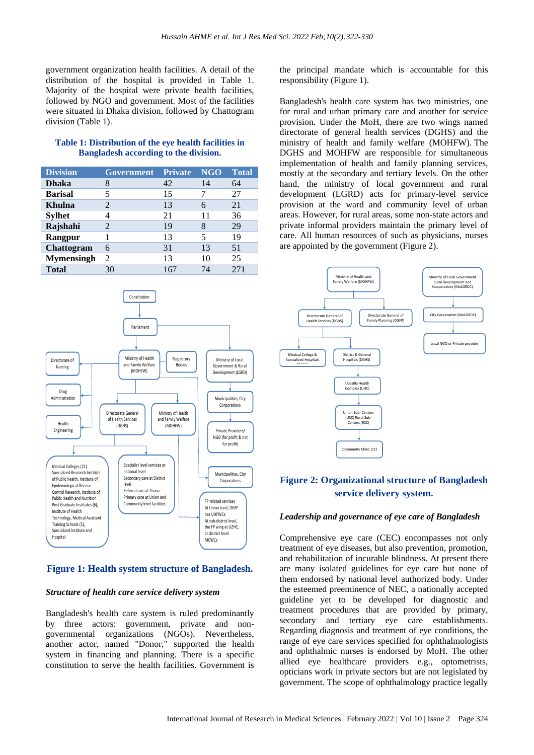government organization health facilities. A detail of the distribution of the hospital is provided in Table 1. Majority of the hospital were private health facilities, followed by NGO and government. Most of the facilities were situated in Dhaka division, followed by Chattogram division (Table 1).

### **Table 1: Distribution of the eye health facilities in Bangladesh according to the division.**

| <b>Division</b>   | <b>Government</b>           | Private | <b>NGO</b> | <b>Total</b> |
|-------------------|-----------------------------|---------|------------|--------------|
| <b>Dhaka</b>      | 8                           | 42      | 14         | 64           |
| <b>Barisal</b>    |                             | 15      |            | 27           |
| <b>Khulna</b>     | 2                           | 13      |            | 21           |
| <b>Sylhet</b>     |                             | 21      | 11         | 36           |
| Rajshahi          | 2                           | 19      | 8          | 29           |
| Rangpur           |                             | 13      | 5          | 19           |
| Chattogram        | 6                           | 31      | 13         | 51           |
| <b>Mymensingh</b> | $\mathcal{D}_{\mathcal{A}}$ | 13      | 10         | 25           |
| <b>Total</b>      | 30                          | 167     | 74         | 271          |

Parliament Ministry of Health and Family Welfare (MOHFW) Directorate of Nursing Regulatory Bodies Ministry of Local Government & Rural Development (LGRD) Municipalities, City Corporation Private Providers/ NGO (for profit & not for profit) Directorate General of Health Services (DGHS) Ministry of Health and Family Welfare (MOHFW) Municipalities, City Corporations Drug Administration Constitution Health Engineering Medical Colleges (21) ecialized Research Institut of Public Health, Institute of Epidemiological Disease Control Research, Institute of Public Health and Nutrition Post Graduate Institutes (6), Institute of Health Technology, Medical Assistant Training Schools (5), Specialized Institute and Hospital Specialist level services at national level Secondary care at District level Referral care at Thana Primary care at Union and Primary care at Union and Felix and FP related services At Union level, DGFP has UHFWCs At sub-district level, the FP wing at UZHC, at district level<br>MCWCs

# **Figure 1: Health system structure of Bangladesh.**

### *Structure of health care service delivery system*

Bangladesh's health care system is ruled predominantly by three actors: government, private and nongovernmental organizations (NGOs). Nevertheless, another actor, named "Donor," supported the health system in financing and planning. There is a specific constitution to serve the health facilities. Government is

the principal mandate which is accountable for this responsibility (Figure 1).

Bangladesh's health care system has two ministries, one for rural and urban primary care and another for service provision. Under the MoH, there are two wings named directorate of general health services (DGHS) and the ministry of health and family welfare (MOHFW). The DGHS and MOHFW are responsible for simultaneous implementation of health and family planning services, mostly at the secondary and tertiary levels. On the other hand, the ministry of local government and rural development (LGRD) acts for primary-level service provision at the ward and community level of urban areas. However, for rural areas, some non-state actors and private informal providers maintain the primary level of care. All human resources of such as physicians, nurses are appointed by the government (Figure 2).



# **Figure 2: Organizational structure of Bangladesh service delivery system.**

### *Leadership and governance of eye care of Bangladesh*

Comprehensive eye care (CEC) encompasses not only treatment of eye diseases, but also prevention, promotion, and rehabilitation of incurable blindness. At present there are many isolated guidelines for eye care but none of them endorsed by national level authorized body. Under the esteemed preeminence of NEC, a nationally accepted guideline yet to be developed for diagnostic and treatment procedures that are provided by primary, secondary and tertiary eye care establishments. Regarding diagnosis and treatment of eye conditions, the range of eye care services specified for ophthalmologists and ophthalmic nurses is endorsed by MoH. The other allied eye healthcare providers e.g., optometrists, opticians work in private sectors but are not legislated by government. The scope of ophthalmology practice legally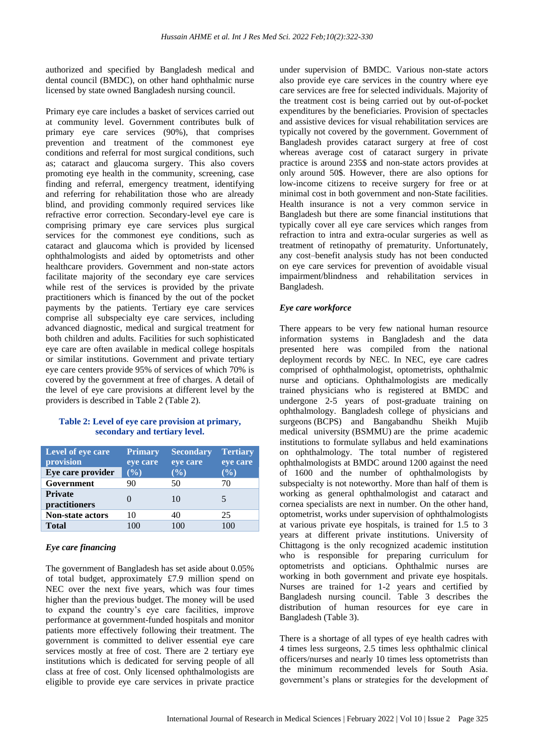authorized and specified by Bangladesh medical and dental council (BMDC), on other hand ophthalmic nurse licensed by state owned Bangladesh nursing council.

Primary eye care includes a basket of services carried out at community level. Government contributes bulk of primary eye care services (90%), that comprises prevention and treatment of the commonest eye conditions and referral for most surgical conditions, such as; cataract and glaucoma surgery. This also covers promoting eye health in the community, screening, case finding and referral, emergency treatment, identifying and referring for rehabilitation those who are already blind, and providing commonly required services like refractive error correction. Secondary-level eye care is comprising primary eye care services plus surgical services for the commonest eye conditions, such as cataract and glaucoma which is provided by licensed ophthalmologists and aided by optometrists and other healthcare providers. Government and non-state actors facilitate majority of the secondary eye care services while rest of the services is provided by the private practitioners which is financed by the out of the pocket payments by the patients. Tertiary eye care services comprise all subspecialty eye care services, including advanced diagnostic, medical and surgical treatment for both children and adults. Facilities for such sophisticated eye care are often available in medical college hospitals or similar institutions. Government and private tertiary eye care centers provide 95% of services of which 70% is covered by the government at free of charges. A detail of the level of eye care provisions at different level by the providers is described in Table 2 (Table 2).

# **Table 2: Level of eye care provision at primary, secondary and tertiary level.**

| Level of eye care<br>provision  | <b>Primary</b><br>eye care | <b>Secondary</b><br>eye care | <b>Tertiary</b><br>eye care |
|---------------------------------|----------------------------|------------------------------|-----------------------------|
| Eye care provider               | (%)                        | $(\%)$                       | (%)                         |
| Government                      | 90                         | 50                           | 70                          |
| <b>Private</b><br>practitioners |                            | 10                           | 5                           |
| Non-state actors                | 10                         | 40                           | 25                          |
| <b>Total</b>                    | 100                        | 100                          | 100                         |

# *Eye care financing*

The government of Bangladesh has set aside about 0.05% of total budget, approximately £7.9 million spend on NEC over the next five years, which was four times higher than the previous budget. The money will be used to expand the country's eye care facilities, improve performance at government-funded hospitals and monitor patients more effectively following their treatment. The government is committed to deliver essential eye care services mostly at free of cost. There are 2 tertiary eye institutions which is dedicated for serving people of all class at free of cost. Only licensed ophthalmologists are eligible to provide eye care services in private practice under supervision of BMDC. Various non-state actors also provide eye care services in the country where eye care services are free for selected individuals. Majority of the treatment cost is being carried out by out-of-pocket expenditures by the beneficiaries. Provision of spectacles and assistive devices for visual rehabilitation services are typically not covered by the government. Government of Bangladesh provides cataract surgery at free of cost whereas average cost of cataract surgery in private practice is around 235\$ and non-state actors provides at only around 50\$. However, there are also options for low-income citizens to receive surgery for free or at minimal cost in both government and non-State facilities. Health insurance is not a very common service in Bangladesh but there are some financial institutions that typically cover all eye care services which ranges from refraction to intra and extra-ocular surgeries as well as treatment of retinopathy of prematurity. Unfortunately, any cost–benefit analysis study has not been conducted on eye care services for prevention of avoidable visual impairment/blindness and rehabilitation services in Bangladesh.

# *Eye care workforce*

There appears to be very few national human resource information systems in Bangladesh and the data presented here was compiled from the national deployment records by NEC. In NEC, eye care cadres comprised of ophthalmologist, optometrists, ophthalmic nurse and opticians. Ophthalmologists are medically trained physicians who is registered at BMDC and undergone 2-5 years of post-graduate training on ophthalmology. Bangladesh college of physicians and surgeons (BCPS) and Bangabandhu Sheikh Mujib medical university (BSMMU) are the prime academic institutions to formulate syllabus and held examinations on ophthalmology. The total number of registered ophthalmologists at BMDC around 1200 against the need of 1600 and the number of ophthalmologists by subspecialty is not noteworthy. More than half of them is working as general ophthalmologist and cataract and cornea specialists are next in number. On the other hand, optometrist, works under supervision of ophthalmologists at various private eye hospitals, is trained for 1.5 to 3 years at different private institutions. University of Chittagong is the only recognized academic institution who is responsible for preparing curriculum for optometrists and opticians. Ophthalmic nurses are working in both government and private eye hospitals. Nurses are trained for 1-2 years and certified by Bangladesh nursing council. Table 3 describes the distribution of human resources for eye care in Bangladesh (Table 3).

There is a shortage of all types of eye health cadres with 4 times less surgeons, 2.5 times less ophthalmic clinical officers/nurses and nearly 10 times less optometrists than the minimum recommended levels for South Asia. government's plans or strategies for the development of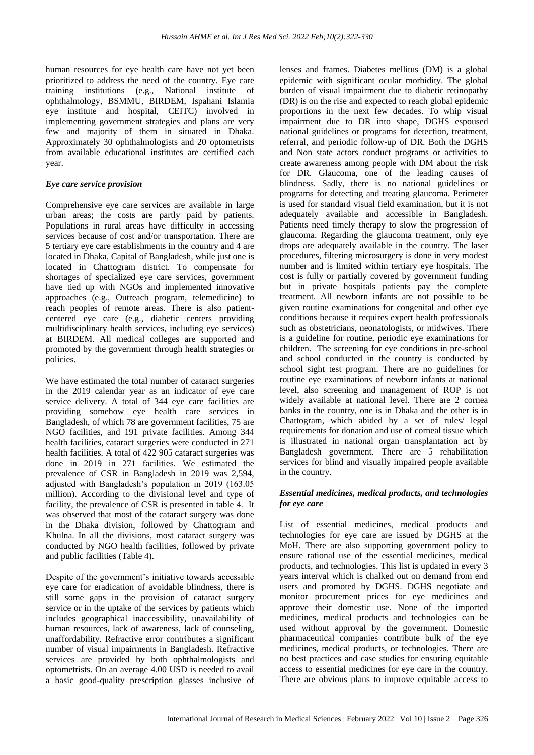human resources for eye health care have not yet been prioritized to address the need of the country. Eye care training institutions (e.g., National institute of ophthalmology, BSMMU, BIRDEM, Ispahani Islamia eye institute and hospital, CEITC) involved in implementing government strategies and plans are very few and majority of them in situated in Dhaka. Approximately 30 ophthalmologists and 20 optometrists from available educational institutes are certified each year.

### *Eye care service provision*

Comprehensive eye care services are available in large urban areas; the costs are partly paid by patients. Populations in rural areas have difficulty in accessing services because of cost and/or transportation. There are 5 tertiary eye care establishments in the country and 4 are located in Dhaka, Capital of Bangladesh, while just one is located in Chattogram district. To compensate for shortages of specialized eye care services, government have tied up with NGOs and implemented innovative approaches (e.g., Outreach program, telemedicine) to reach peoples of remote areas. There is also patientcentered eye care (e.g., diabetic centers providing multidisciplinary health services, including eye services) at BIRDEM. All medical colleges are supported and promoted by the government through health strategies or policies.

We have estimated the total number of cataract surgeries in the 2019 calendar year as an indicator of eye care service delivery. A total of 344 eye care facilities are providing somehow eye health care services in Bangladesh, of which 78 are government facilities, 75 are NGO facilities, and 191 private facilities. Among 344 health facilities, cataract surgeries were conducted in 271 health facilities. A total of 422 905 cataract surgeries was done in 2019 in 271 facilities. We estimated the prevalence of CSR in Bangladesh in 2019 was 2,594, adjusted with Bangladesh's population in 2019 (163.05 million). According to the divisional level and type of facility, the prevalence of CSR is presented in table 4. It was observed that most of the cataract surgery was done in the Dhaka division, followed by Chattogram and Khulna. In all the divisions, most cataract surgery was conducted by NGO health facilities, followed by private and public facilities (Table 4).

Despite of the government's initiative towards accessible eye care for eradication of avoidable blindness, there is still some gaps in the provision of cataract surgery service or in the uptake of the services by patients which includes geographical inaccessibility, unavailability of human resources, lack of awareness, lack of counseling, unaffordability. Refractive error contributes a significant number of visual impairments in Bangladesh. Refractive services are provided by both ophthalmologists and optometrists. On an average 4.00 USD is needed to avail a basic good-quality prescription glasses inclusive of lenses and frames. Diabetes mellitus (DM) is a global epidemic with significant ocular morbidity. The global burden of visual impairment due to diabetic retinopathy (DR) is on the rise and expected to reach global epidemic proportions in the next few decades. To whip visual impairment due to DR into shape, DGHS espoused national guidelines or programs for detection, treatment, referral, and periodic follow-up of DR. Both the DGHS and Non state actors conduct programs or activities to create awareness among people with DM about the risk for DR. Glaucoma, one of the leading causes of blindness. Sadly, there is no national guidelines or programs for detecting and treating glaucoma. Perimeter is used for standard visual field examination, but it is not adequately available and accessible in Bangladesh. Patients need timely therapy to slow the progression of glaucoma. Regarding the glaucoma treatment, only eye drops are adequately available in the country. The laser procedures, filtering microsurgery is done in very modest number and is limited within tertiary eye hospitals. The cost is fully or partially covered by government funding but in private hospitals patients pay the complete treatment. All newborn infants are not possible to be given routine examinations for congenital and other eye conditions because it requires expert health professionals such as obstetricians, neonatologists, or midwives. There is a guideline for routine, periodic eye examinations for children. The screening for eye conditions in pre-school and school conducted in the country is conducted by school sight test program. There are no guidelines for routine eye examinations of newborn infants at national level, also screening and management of ROP is not widely available at national level. There are 2 cornea banks in the country, one is in Dhaka and the other is in Chattogram, which abided by a set of rules/ legal requirements for donation and use of corneal tissue which is illustrated in national organ transplantation act by Bangladesh government. There are 5 rehabilitation services for blind and visually impaired people available in the country.

# *Essential medicines, medical products, and technologies for eye care*

List of essential medicines, medical products and technologies for eye care are issued by DGHS at the MoH. There are also supporting government policy to ensure rational use of the essential medicines, medical products, and technologies. This list is updated in every 3 years interval which is chalked out on demand from end users and promoted by DGHS. DGHS negotiate and monitor procurement prices for eye medicines and approve their domestic use. None of the imported medicines, medical products and technologies can be used without approval by the government. Domestic pharmaceutical companies contribute bulk of the eye medicines, medical products, or technologies. There are no best practices and case studies for ensuring equitable access to essential medicines for eye care in the country. There are obvious plans to improve equitable access to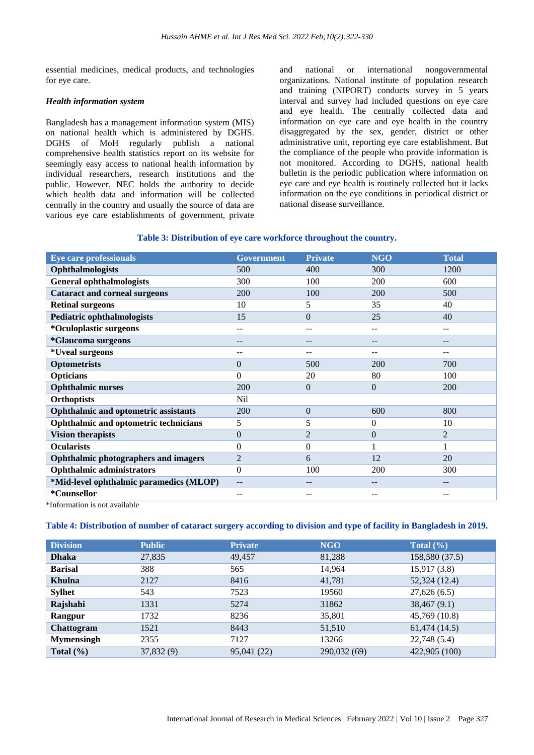essential medicines, medical products, and technologies for eye care.

### *Health information system*

Bangladesh has a management information system (MIS) on national health which is administered by DGHS. DGHS of MoH regularly publish a national comprehensive health statistics report on its website for seemingly easy access to national health information by individual researchers, research institutions and the public. However, NEC holds the authority to decide which health data and information will be collected centrally in the country and usually the source of data are various eye care establishments of government, private and national or international nongovernmental organizations. National institute of population research and training (NIPORT) conducts survey in 5 years interval and survey had included questions on eye care and eye health. The centrally collected data and information on eye care and eye health in the country disaggregated by the sex, gender, district or other administrative unit, reporting eye care establishment. But the compliance of the people who provide information is not monitored. According to DGHS, national health bulletin is the periodic publication where information on eye care and eye health is routinely collected but it lacks information on the eye conditions in periodical district or national disease surveillance.

### **Table 3: Distribution of eye care workforce throughout the country.**

| <b>Eye care professionals</b>               | <b>Government</b> | <b>Private</b> | <b>NGO</b>     | <b>Total</b>   |
|---------------------------------------------|-------------------|----------------|----------------|----------------|
| Ophthalmologists                            | 500               | 400            | 300            | 1200           |
| <b>General ophthalmologists</b>             | 300               | 100            | 200            | 600            |
| <b>Cataract and corneal surgeons</b>        | 200               | 100            | 200            | 500            |
| <b>Retinal surgeons</b>                     | 10                | 5              | 35             | 40             |
| <b>Pediatric ophthalmologists</b>           | 15                | $\Omega$       | 25             | 40             |
| *Oculoplastic surgeons                      | --                | --             | --             | --             |
| *Glaucoma surgeons                          | --                | --             | $- -$          | $ -$           |
| *Uveal surgeons                             | --                | --             |                |                |
| <b>Optometrists</b>                         | 0                 | 500            | 200            | 700            |
| <b>Opticians</b>                            | $\Omega$          | 20             | 80             | 100            |
| <b>Ophthalmic nurses</b>                    | 200               | $\Omega$       | $\overline{0}$ | 200            |
| <b>Orthoptists</b>                          | Nil               |                |                |                |
| <b>Ophthalmic and optometric assistants</b> | 200               | $\overline{0}$ | 600            | 800            |
| Ophthalmic and optometric technicians       | 5                 | 5              | $\overline{0}$ | 10             |
| <b>Vision therapists</b>                    | $\Omega$          | $\overline{2}$ | $\overline{0}$ | $\overline{2}$ |
| <b>Ocularists</b>                           | $\Omega$          | $\Omega$       |                |                |
| <b>Ophthalmic photographers and imagers</b> | $\overline{2}$    | 6              | 12             | 20             |
| <b>Ophthalmic administrators</b>            | $\Omega$          | 100            | 200            | 300            |
| *Mid-level ophthalmic paramedics (MLOP)     | $- -$             | --             | $- -$          | $ -$           |
| *Counsellor                                 | $- -$             | --             | $- -$          | $-$            |

\*Information is not available

# **Table 4: Distribution of number of cataract surgery according to division and type of facility in Bangladesh in 2019.**

| <b>Division</b>   | <b>Public</b> | <b>Private</b> | <b>NGO</b>   | Total $(\% )$  |
|-------------------|---------------|----------------|--------------|----------------|
| <b>Dhaka</b>      | 27,835        | 49,457         | 81,288       | 158,580 (37.5) |
| <b>Barisal</b>    | 388           | 565            | 14,964       | 15,917(3.8)    |
| <b>Khulna</b>     | 2127          | 8416           | 41,781       | 52,324 (12.4)  |
| <b>Sylhet</b>     | 543           | 7523           | 19560        | 27,626(6.5)    |
| Rajshahi          | 1331          | 5274           | 31862        | 38,467(9.1)    |
| Rangpur           | 1732          | 8236           | 35,801       | 45,769 (10.8)  |
| <b>Chattogram</b> | 1521          | 8443           | 51,510       | 61,474(14.5)   |
| <b>Mymensingh</b> | 2355          | 7127           | 13266        | 22,748(5.4)    |
| Total $(\% )$     | 37,832(9)     | 95,041 (22)    | 290,032 (69) | 422,905 (100)  |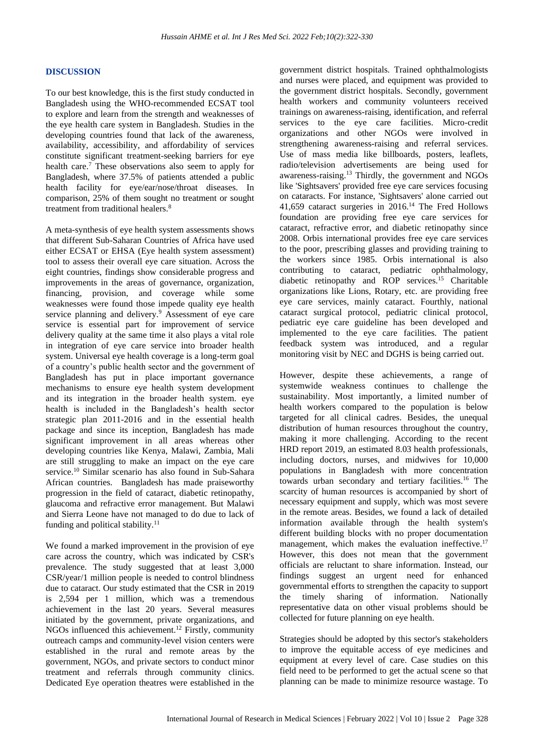### **DISCUSSION**

To our best knowledge, this is the first study conducted in Bangladesh using the WHO-recommended ECSAT tool to explore and learn from the strength and weaknesses of the eye health care system in Bangladesh. Studies in the developing countries found that lack of the awareness, availability, accessibility, and affordability of services constitute significant treatment-seeking barriers for eye health care.<sup>7</sup> These observations also seem to apply for Bangladesh, where 37.5% of patients attended a public health facility for eye/ear/nose/throat diseases. In comparison, 25% of them sought no treatment or sought treatment from traditional healers.<sup>8</sup>

A meta-synthesis of eye health system assessments shows that different Sub-Saharan Countries of Africa have used either ECSAT or EHSA (Eye health system assessment) tool to assess their overall eye care situation. Across the eight countries, findings show considerable progress and improvements in the areas of governance, organization, financing, provision, and coverage while some weaknesses were found those impede quality eye health service planning and delivery.<sup>9</sup> Assessment of eye care service is essential part for improvement of service delivery quality at the same time it also plays a vital role in integration of eye care service into broader health system. Universal eye health coverage is a long-term goal of a country's public health sector and the government of Bangladesh has put in place important governance mechanisms to ensure eye health system development and its integration in the broader health system. eye health is included in the Bangladesh's health sector strategic plan 2011-2016 and in the essential health package and since its inception, Bangladesh has made significant improvement in all areas whereas other developing countries like Kenya, Malawi, Zambia, Mali are still struggling to make an impact on the eye care service.<sup>10</sup> Similar scenario has also found in Sub-Sahara African countries. Bangladesh has made praiseworthy progression in the field of cataract, diabetic retinopathy, glaucoma and refractive error management. But Malawi and Sierra Leone have not managed to do due to lack of funding and political stability.<sup>11</sup>

We found a marked improvement in the provision of eye care across the country, which was indicated by CSR's prevalence. The study suggested that at least 3,000 CSR/year/1 million people is needed to control blindness due to cataract. Our study estimated that the CSR in 2019 is 2,594 per 1 million, which was a tremendous achievement in the last 20 years. Several measures initiated by the government, private organizations, and NGOs influenced this achievement.<sup>12</sup> Firstly, community outreach camps and community-level vision centers were established in the rural and remote areas by the government, NGOs, and private sectors to conduct minor treatment and referrals through community clinics. Dedicated Eye operation theatres were established in the government district hospitals. Trained ophthalmologists and nurses were placed, and equipment was provided to the government district hospitals. Secondly, government health workers and community volunteers received trainings on awareness-raising, identification, and referral services to the eye care facilities. Micro-credit organizations and other NGOs were involved in strengthening awareness-raising and referral services. Use of mass media like billboards, posters, leaflets, radio/television advertisements are being used for awareness-raising.<sup>13</sup> Thirdly, the government and NGOs like 'Sightsavers' provided free eye care services focusing on cataracts. For instance, 'Sightsavers' alone carried out 41,659 cataract surgeries in 2016.<sup>14</sup> The Fred Hollows foundation are providing free eye care services for cataract, refractive error, and diabetic retinopathy since 2008. Orbis international provides free eye care services to the poor, prescribing glasses and providing training to the workers since 1985. Orbis international is also contributing to cataract, pediatric ophthalmology, diabetic retinopathy and ROP services.<sup>15</sup> Charitable organizations like Lions, Rotary, etc. are providing free eye care services, mainly cataract. Fourthly, national cataract surgical protocol, pediatric clinical protocol, pediatric eye care guideline has been developed and implemented to the eye care facilities. The patient feedback system was introduced, and a regular monitoring visit by NEC and DGHS is being carried out.

However, despite these achievements, a range of systemwide weakness continues to challenge the sustainability. Most importantly, a limited number of health workers compared to the population is below targeted for all clinical cadres. Besides, the unequal distribution of human resources throughout the country, making it more challenging. According to the recent HRD report 2019, an estimated 8.03 health professionals, including doctors, nurses, and midwives for 10,000 populations in Bangladesh with more concentration towards urban secondary and tertiary facilities.<sup>16</sup> The scarcity of human resources is accompanied by short of necessary equipment and supply, which was most severe in the remote areas. Besides, we found a lack of detailed information available through the health system's different building blocks with no proper documentation management, which makes the evaluation ineffective.<sup>17</sup> However, this does not mean that the government officials are reluctant to share information. Instead, our findings suggest an urgent need for enhanced governmental efforts to strengthen the capacity to support the timely sharing of information. Nationally representative data on other visual problems should be collected for future planning on eye health.

Strategies should be adopted by this sector's stakeholders to improve the equitable access of eye medicines and equipment at every level of care. Case studies on this field need to be performed to get the actual scene so that planning can be made to minimize resource wastage. To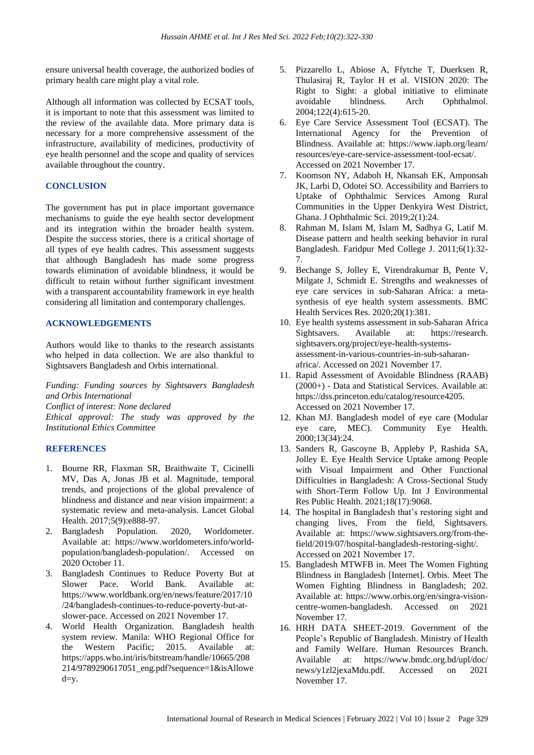ensure universal health coverage, the authorized bodies of primary health care might play a vital role.

Although all information was collected by ECSAT tools, it is important to note that this assessment was limited to the review of the available data. More primary data is necessary for a more comprehensive assessment of the infrastructure, availability of medicines, productivity of eye health personnel and the scope and quality of services available throughout the country.

# **CONCLUSION**

The government has put in place important governance mechanisms to guide the eye health sector development and its integration within the broader health system. Despite the success stories, there is a critical shortage of all types of eye health cadres. This assessment suggests that although Bangladesh has made some progress towards elimination of avoidable blindness, it would be difficult to retain without further significant investment with a transparent accountability framework in eye health considering all limitation and contemporary challenges.

# **ACKNOWLEDGEMENTS**

Authors would like to thanks to the research assistants who helped in data collection. We are also thankful to Sightsavers Bangladesh and Orbis international.

*Funding: Funding sources by Sightsavers Bangladesh and Orbis International*

*Conflict of interest: None declared*

*Ethical approval: The study was approved by the Institutional Ethics Committee*

# **REFERENCES**

- 1. Bourne RR, Flaxman SR, Braithwaite T, Cicinelli MV, Das A, Jonas JB et al. Magnitude, temporal trends, and projections of the global prevalence of blindness and distance and near vision impairment: a systematic review and meta-analysis. Lancet Global Health. 2017;5(9):e888-97.
- 2. Bangladesh Population. 2020, Worldometer. Available at: https://www.worldometers.info/worldpopulation/bangladesh-population/. Accessed on 2020 October 11.
- 3. Bangladesh Continues to Reduce Poverty But at Slower Pace. World Bank. Available at: https://www.worldbank.org/en/news/feature/2017/10 /24/bangladesh-continues-to-reduce-poverty-but-atslower-pace. Accessed on 2021 November 17.
- 4. World Health Organization. Bangladesh health system review. Manila: WHO Regional Office for the Western Pacific; 2015. Available at: https://apps.who.int/iris/bitstream/handle/10665/208 214/9789290617051\_eng.pdf?sequence=1&isAllowe  $d=y.$
- 5. Pizzarello L, Abiose A, Ffytche T, Duerksen R, Thulasiraj R, Taylor H et al. VISION 2020: The Right to Sight: a global initiative to eliminate avoidable blindness. Arch Ophthalmol. 2004;122(4):615-20.
- 6. Eye Care Service Assessment Tool (ECSAT). The International Agency for the Prevention of Blindness. Available at: https://www.iapb.org/learn/ resources/eye-care-service-assessment-tool-ecsat/. Accessed on 2021 November 17.
- 7. Koomson NY, Adaboh H, Nkansah EK, Amponsah JK, Larbi D, Odotei SO. Accessibility and Barriers to Uptake of Ophthalmic Services Among Rural Communities in the Upper Denkyira West District, Ghana. J Ophthalmic Sci. 2019;2(1):24.
- 8. Rahman M, Islam M, Islam M, Sadhya G, Latif M. Disease pattern and health seeking behavior in rural Bangladesh. Faridpur Med College J. 2011;6(1):32- 7.
- 9. Bechange S, Jolley E, Virendrakumar B, Pente V, Milgate J, Schmidt E. Strengths and weaknesses of eye care services in sub-Saharan Africa: a metasynthesis of eye health system assessments. BMC Health Services Res. 2020;20(1):381.
- 10. Eye health systems assessment in sub-Saharan Africa Sightsavers. Available at: https://research. sightsavers.org/project/eye-health-systemsassessment-in-various-countries-in-sub-saharanafrica/. Accessed on 2021 November 17.
- 11. Rapid Assessment of Avoidable Blindness (RAAB) (2000+) - Data and Statistical Services. Available at: https://dss.princeton.edu/catalog/resource4205. Accessed on 2021 November 17.
- 12. Khan MJ. Bangladesh model of eye care (Modular eye care, MEC). Community Eye Health. 2000;13(34):24.
- 13. Sanders R, Gascoyne B, Appleby P, Rashida SA, Jolley E. Eye Health Service Uptake among People with Visual Impairment and Other Functional Difficulties in Bangladesh: A Cross-Sectional Study with Short-Term Follow Up. Int J Environmental Res Public Health. 2021;18(17):9068.
- 14. The hospital in Bangladesh that's restoring sight and changing lives, From the field, Sightsavers. Available at: https://www.sightsavers.org/from-thefield/2019/07/hospital-bangladesh-restoring-sight/. Accessed on 2021 November 17.
- 15. Bangladesh MTWFB in. Meet The Women Fighting Blindness in Bangladesh [Internet]. Orbis. Meet The Women Fighting Blindness in Bangladesh; 202. Available at: https://www.orbis.org/en/singra-visioncentre-women-bangladesh. Accessed on 2021 November 17.
- 16. HRH DATA SHEET-2019. Government of the People's Republic of Bangladesh. Ministry of Health and Family Welfare. Human Resources Branch. Available at: https://www.bmdc.org.bd/upl/doc/ news/y1zl2jexaMdu.pdf. Accessed on 2021 November 17.